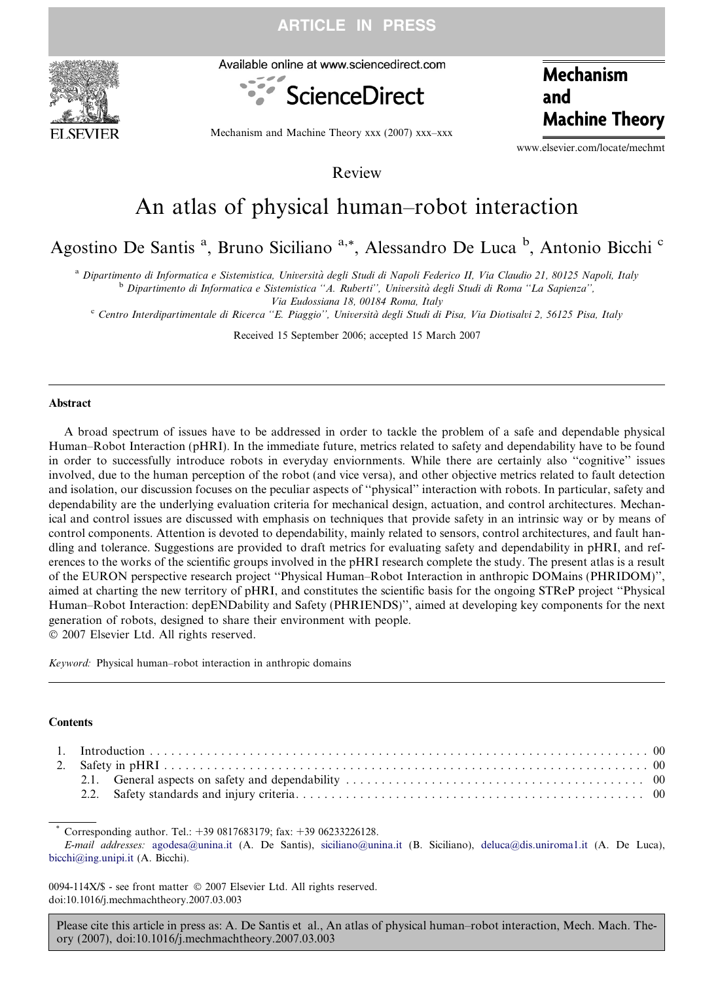

Available online at www.sciencedirect.com



Mechanism and Machine Theory

Mechanism and Machine Theory xxx (2007) xxx–xxx

www.elsevier.com/locate/mechmt

Review

# An atlas of physical human–robot interaction

Agostino De Santis<sup>a</sup>, Bruno Siciliano<sup>a,\*</sup>, Alessandro De Luca<sup>b</sup>, Antonio Bicchi<sup>c</sup>

<sup>a</sup> Dipartimento di Informatica e Sistemistica, Università degli Studi di Napoli Federico II, Via Claudio 21, 80125 Napoli, Italy

<sup>b</sup> Dipartimento di Informatica e Sistemistica "A. Ruberti", Università degli Studi di Roma "La Sapienza",

Via Eudossiana 18, 00184 Roma, Italy

<sup>c</sup> Centro Interdipartimentale di Ricerca "E. Piaggio", Università degli Studi di Pisa, Via Diotisalvi 2, 56125 Pisa, Italy

Received 15 September 2006; accepted 15 March 2007

#### Abstract

A broad spectrum of issues have to be addressed in order to tackle the problem of a safe and dependable physical Human–Robot Interaction (pHRI). In the immediate future, metrics related to safety and dependability have to be found in order to successfully introduce robots in everyday enviornments. While there are certainly also ''cognitive'' issues involved, due to the human perception of the robot (and vice versa), and other objective metrics related to fault detection and isolation, our discussion focuses on the peculiar aspects of ''physical'' interaction with robots. In particular, safety and dependability are the underlying evaluation criteria for mechanical design, actuation, and control architectures. Mechanical and control issues are discussed with emphasis on techniques that provide safety in an intrinsic way or by means of control components. Attention is devoted to dependability, mainly related to sensors, control architectures, and fault handling and tolerance. Suggestions are provided to draft metrics for evaluating safety and dependability in pHRI, and references to the works of the scientific groups involved in the pHRI research complete the study. The present atlas is a result of the EURON perspective research project ''Physical Human–Robot Interaction in anthropic DOMains (PHRIDOM)'', aimed at charting the new territory of pHRI, and constitutes the scientific basis for the ongoing STReP project ''Physical Human–Robot Interaction: depENDability and Safety (PHRIENDS)'', aimed at developing key components for the next generation of robots, designed to share their environment with people. - 2007 Elsevier Ltd. All rights reserved.

Keyword: Physical human–robot interaction in anthropic domains

#### **Contents**

Corresponding author. Tel.: +39 0817683179; fax: +39 06233226128.

E-mail addresses: [agodesa@unina.it](mailto:agodesa@unina.it) (A. De Santis), [siciliano@unina.it](mailto:siciliano@unina.it) (B. Siciliano), [deluca@dis.uniroma1.it](mailto:deluca@dis.uniroma1.it) (A. De Luca), [bicchi@ing.unipi.it](mailto:bicchi@ing.unipi.it) (A. Bicchi).

0094-114X/\$ - see front matter © 2007 Elsevier Ltd. All rights reserved. doi:10.1016/j.mechmachtheory.2007.03.003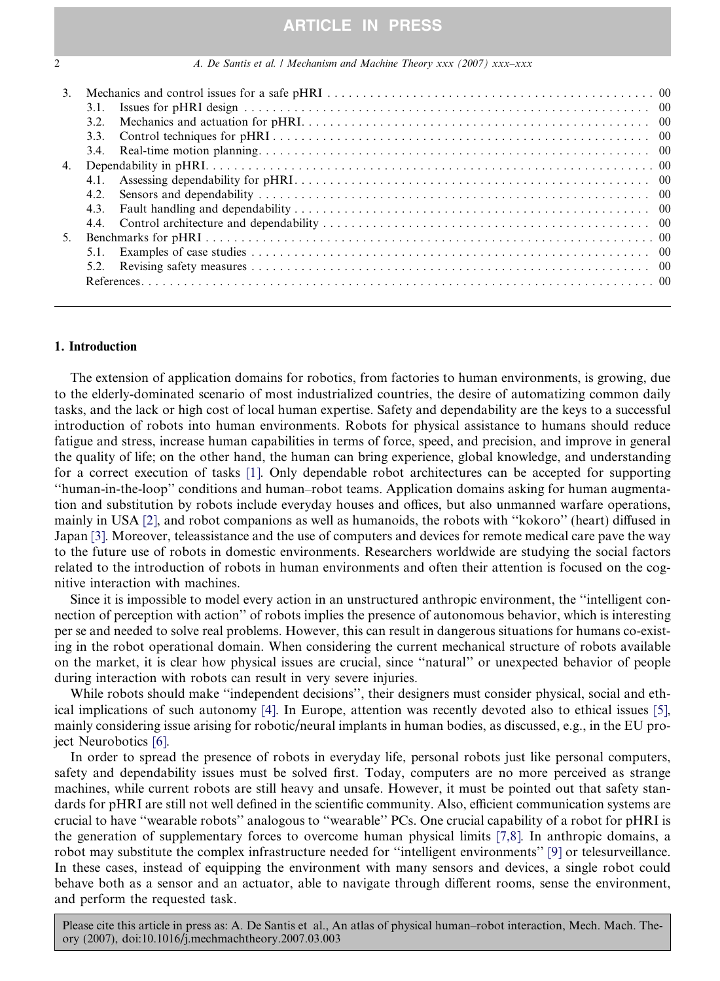2 2 A. De Santis et al. / Mechanism and Machine Theory xxx (2007) xxx-xxx

| $\mathfrak{Z}$ . |      |  |  |
|------------------|------|--|--|
|                  |      |  |  |
|                  | 3.2  |  |  |
|                  | 3.3  |  |  |
|                  |      |  |  |
| 4.               |      |  |  |
|                  |      |  |  |
|                  |      |  |  |
|                  | 4.3. |  |  |
|                  |      |  |  |
| 5.               |      |  |  |
|                  |      |  |  |
|                  |      |  |  |
|                  |      |  |  |

## 1. Introduction

The extension of application domains for robotics, from factories to human environments, is growing, due to the elderly-dominated scenario of most industrialized countries, the desire of automatizing common daily tasks, and the lack or high cost of local human expertise. Safety and dependability are the keys to a successful introduction of robots into human environments. Robots for physical assistance to humans should reduce fatigue and stress, increase human capabilities in terms of force, speed, and precision, and improve in general the quality of life; on the other hand, the human can bring experience, global knowledge, and understanding for a correct execution of tasks [\[1\].](#page-15-0) Only dependable robot architectures can be accepted for supporting ''human-in-the-loop'' conditions and human–robot teams. Application domains asking for human augmentation and substitution by robots include everyday houses and offices, but also unmanned warfare operations, mainly in USA [\[2\],](#page-15-0) and robot companions as well as humanoids, the robots with ''kokoro'' (heart) diffused in Japan [\[3\]](#page-15-0). Moreover, teleassistance and the use of computers and devices for remote medical care pave the way to the future use of robots in domestic environments. Researchers worldwide are studying the social factors related to the introduction of robots in human environments and often their attention is focused on the cognitive interaction with machines.

Since it is impossible to model every action in an unstructured anthropic environment, the ''intelligent connection of perception with action'' of robots implies the presence of autonomous behavior, which is interesting per se and needed to solve real problems. However, this can result in dangerous situations for humans co-existing in the robot operational domain. When considering the current mechanical structure of robots available on the market, it is clear how physical issues are crucial, since ''natural'' or unexpected behavior of people during interaction with robots can result in very severe injuries.

While robots should make "independent decisions", their designers must consider physical, social and ethical implications of such autonomy [\[4\]](#page-15-0). In Europe, attention was recently devoted also to ethical issues [\[5\],](#page-15-0) mainly considering issue arising for robotic/neural implants in human bodies, as discussed, e.g., in the EU project Neurobotics [\[6\].](#page-15-0)

In order to spread the presence of robots in everyday life, personal robots just like personal computers, safety and dependability issues must be solved first. Today, computers are no more perceived as strange machines, while current robots are still heavy and unsafe. However, it must be pointed out that safety standards for pHRI are still not well defined in the scientific community. Also, efficient communication systems are crucial to have ''wearable robots'' analogous to ''wearable'' PCs. One crucial capability of a robot for pHRI is the generation of supplementary forces to overcome human physical limits [\[7,8\].](#page-15-0) In anthropic domains, a robot may substitute the complex infrastructure needed for ''intelligent environments'' [\[9\]](#page-15-0) or telesurveillance. In these cases, instead of equipping the environment with many sensors and devices, a single robot could behave both as a sensor and an actuator, able to navigate through different rooms, sense the environment, and perform the requested task.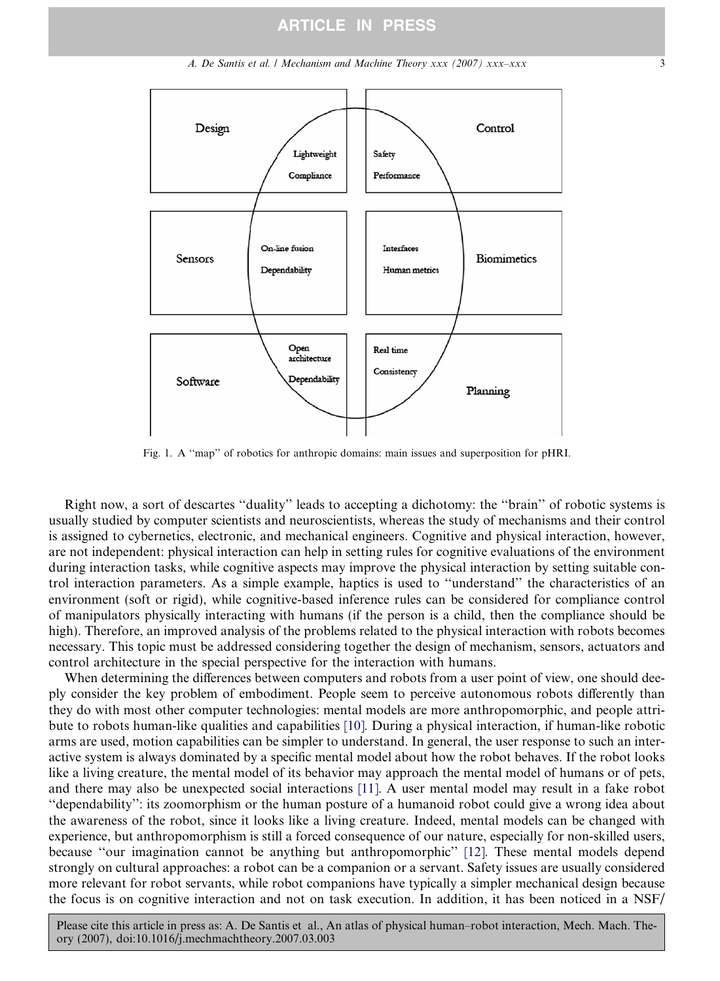<span id="page-2-0"></span>

Fig. 1. A ''map'' of robotics for anthropic domains: main issues and superposition for pHRI.

Right now, a sort of descartes ''duality'' leads to accepting a dichotomy: the ''brain'' of robotic systems is usually studied by computer scientists and neuroscientists, whereas the study of mechanisms and their control is assigned to cybernetics, electronic, and mechanical engineers. Cognitive and physical interaction, however, are not independent: physical interaction can help in setting rules for cognitive evaluations of the environment during interaction tasks, while cognitive aspects may improve the physical interaction by setting suitable control interaction parameters. As a simple example, haptics is used to ''understand'' the characteristics of an environment (soft or rigid), while cognitive-based inference rules can be considered for compliance control of manipulators physically interacting with humans (if the person is a child, then the compliance should be high). Therefore, an improved analysis of the problems related to the physical interaction with robots becomes necessary. This topic must be addressed considering together the design of mechanism, sensors, actuators and control architecture in the special perspective for the interaction with humans.

When determining the differences between computers and robots from a user point of view, one should deeply consider the key problem of embodiment. People seem to perceive autonomous robots differently than they do with most other computer technologies: mental models are more anthropomorphic, and people attribute to robots human-like qualities and capabilities [\[10\].](#page-15-0) During a physical interaction, if human-like robotic arms are used, motion capabilities can be simpler to understand. In general, the user response to such an interactive system is always dominated by a specific mental model about how the robot behaves. If the robot looks like a living creature, the mental model of its behavior may approach the mental model of humans or of pets, and there may also be unexpected social interactions [\[11\]](#page-15-0). A user mental model may result in a fake robot ''dependability'': its zoomorphism or the human posture of a humanoid robot could give a wrong idea about the awareness of the robot, since it looks like a living creature. Indeed, mental models can be changed with experience, but anthropomorphism is still a forced consequence of our nature, especially for non-skilled users, because ''our imagination cannot be anything but anthropomorphic'' [\[12\].](#page-15-0) These mental models depend strongly on cultural approaches: a robot can be a companion or a servant. Safety issues are usually considered more relevant for robot servants, while robot companions have typically a simpler mechanical design because the focus is on cognitive interaction and not on task execution. In addition, it has been noticed in a NSF/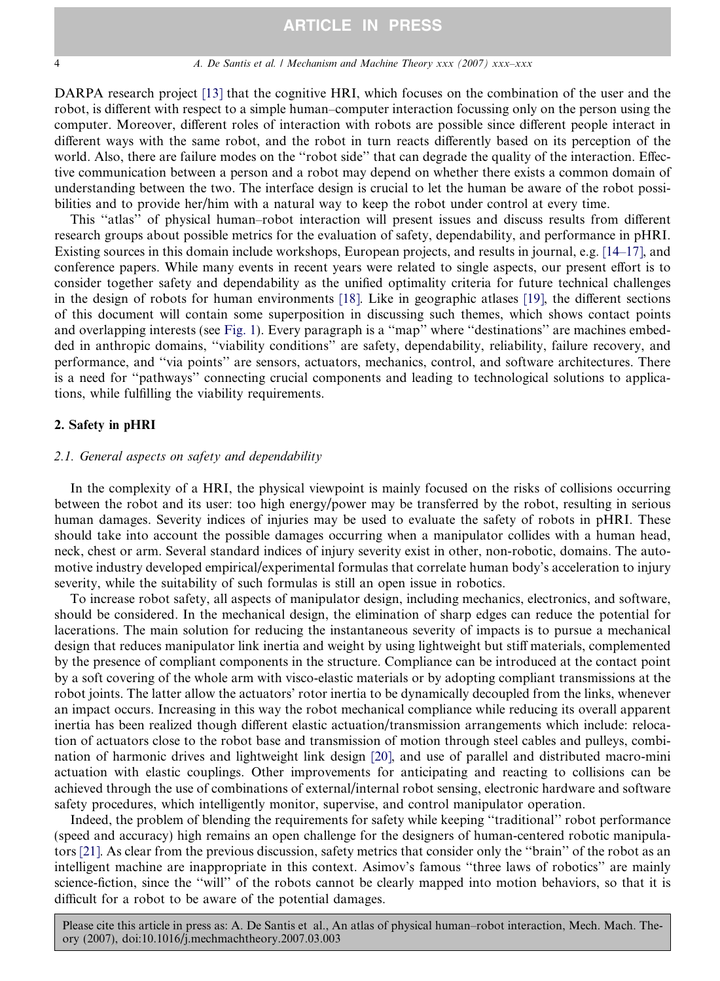<span id="page-3-0"></span>DARPA research project [\[13\]](#page-15-0) that the cognitive HRI, which focuses on the combination of the user and the robot, is different with respect to a simple human–computer interaction focussing only on the person using the computer. Moreover, different roles of interaction with robots are possible since different people interact in different ways with the same robot, and the robot in turn reacts differently based on its perception of the world. Also, there are failure modes on the "robot side" that can degrade the quality of the interaction. Effective communication between a person and a robot may depend on whether there exists a common domain of understanding between the two. The interface design is crucial to let the human be aware of the robot possibilities and to provide her/him with a natural way to keep the robot under control at every time.

This ''atlas'' of physical human–robot interaction will present issues and discuss results from different research groups about possible metrics for the evaluation of safety, dependability, and performance in pHRI. Existing sources in this domain include workshops, European projects, and results in journal, e.g. [\[14–17\]](#page-15-0), and conference papers. While many events in recent years were related to single aspects, our present effort is to consider together safety and dependability as the unified optimality criteria for future technical challenges in the design of robots for human environments [\[18\].](#page-16-0) Like in geographic atlases [\[19\]](#page-16-0), the different sections of this document will contain some superposition in discussing such themes, which shows contact points and overlapping interests (see [Fig. 1\)](#page-2-0). Every paragraph is a "map" where "destinations" are machines embedded in anthropic domains, ''viability conditions'' are safety, dependability, reliability, failure recovery, and performance, and ''via points'' are sensors, actuators, mechanics, control, and software architectures. There is a need for ''pathways'' connecting crucial components and leading to technological solutions to applications, while fulfilling the viability requirements.

# 2. Safety in pHRI

## 2.1. General aspects on safety and dependability

In the complexity of a HRI, the physical viewpoint is mainly focused on the risks of collisions occurring between the robot and its user: too high energy/power may be transferred by the robot, resulting in serious human damages. Severity indices of injuries may be used to evaluate the safety of robots in pHRI. These should take into account the possible damages occurring when a manipulator collides with a human head, neck, chest or arm. Several standard indices of injury severity exist in other, non-robotic, domains. The automotive industry developed empirical/experimental formulas that correlate human body's acceleration to injury severity, while the suitability of such formulas is still an open issue in robotics.

To increase robot safety, all aspects of manipulator design, including mechanics, electronics, and software, should be considered. In the mechanical design, the elimination of sharp edges can reduce the potential for lacerations. The main solution for reducing the instantaneous severity of impacts is to pursue a mechanical design that reduces manipulator link inertia and weight by using lightweight but stiff materials, complemented by the presence of compliant components in the structure. Compliance can be introduced at the contact point by a soft covering of the whole arm with visco-elastic materials or by adopting compliant transmissions at the robot joints. The latter allow the actuators' rotor inertia to be dynamically decoupled from the links, whenever an impact occurs. Increasing in this way the robot mechanical compliance while reducing its overall apparent inertia has been realized though different elastic actuation/transmission arrangements which include: relocation of actuators close to the robot base and transmission of motion through steel cables and pulleys, combination of harmonic drives and lightweight link design [\[20\]](#page-16-0), and use of parallel and distributed macro-mini actuation with elastic couplings. Other improvements for anticipating and reacting to collisions can be achieved through the use of combinations of external/internal robot sensing, electronic hardware and software safety procedures, which intelligently monitor, supervise, and control manipulator operation.

Indeed, the problem of blending the requirements for safety while keeping ''traditional'' robot performance (speed and accuracy) high remains an open challenge for the designers of human-centered robotic manipulators [\[21\]](#page-16-0). As clear from the previous discussion, safety metrics that consider only the ''brain'' of the robot as an intelligent machine are inappropriate in this context. Asimov's famous ''three laws of robotics'' are mainly science-fiction, since the ''will'' of the robots cannot be clearly mapped into motion behaviors, so that it is difficult for a robot to be aware of the potential damages.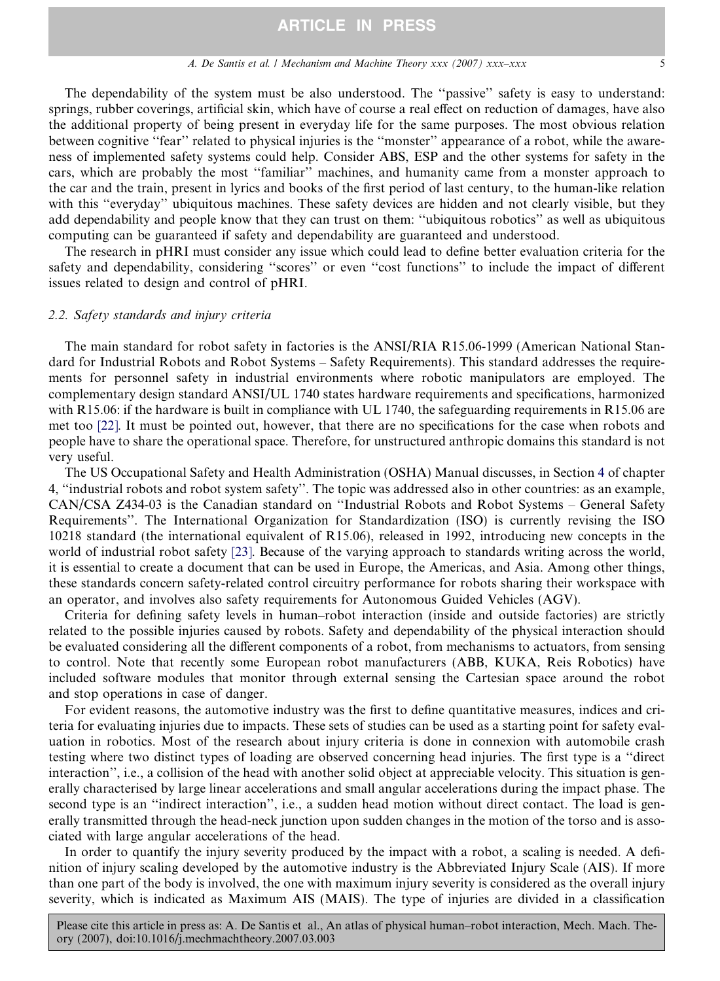The dependability of the system must be also understood. The ''passive'' safety is easy to understand: springs, rubber coverings, artificial skin, which have of course a real effect on reduction of damages, have also the additional property of being present in everyday life for the same purposes. The most obvious relation between cognitive "fear" related to physical injuries is the "monster" appearance of a robot, while the awareness of implemented safety systems could help. Consider ABS, ESP and the other systems for safety in the cars, which are probably the most ''familiar'' machines, and humanity came from a monster approach to the car and the train, present in lyrics and books of the first period of last century, to the human-like relation with this "everyday" ubiquitous machines. These safety devices are hidden and not clearly visible, but they add dependability and people know that they can trust on them: ''ubiquitous robotics'' as well as ubiquitous computing can be guaranteed if safety and dependability are guaranteed and understood.

The research in pHRI must consider any issue which could lead to define better evaluation criteria for the safety and dependability, considering ''scores'' or even ''cost functions'' to include the impact of different issues related to design and control of pHRI.

## 2.2. Safety standards and injury criteria

The main standard for robot safety in factories is the ANSI/RIA R15.06-1999 (American National Standard for Industrial Robots and Robot Systems – Safety Requirements). This standard addresses the requirements for personnel safety in industrial environments where robotic manipulators are employed. The complementary design standard ANSI/UL 1740 states hardware requirements and specifications, harmonized with R15.06: if the hardware is built in compliance with UL 1740, the safeguarding requirements in R15.06 are met too [\[22\]](#page-16-0). It must be pointed out, however, that there are no specifications for the case when robots and people have to share the operational space. Therefore, for unstructured anthropic domains this standard is not very useful.

The US Occupational Safety and Health Administration (OSHA) Manual discusses, in Section [4](#page-9-0) of chapter 4, ''industrial robots and robot system safety''. The topic was addressed also in other countries: as an example, CAN/CSA Z434-03 is the Canadian standard on ''Industrial Robots and Robot Systems – General Safety Requirements''. The International Organization for Standardization (ISO) is currently revising the ISO 10218 standard (the international equivalent of R15.06), released in 1992, introducing new concepts in the world of industrial robot safety [\[23\]](#page-16-0). Because of the varying approach to standards writing across the world, it is essential to create a document that can be used in Europe, the Americas, and Asia. Among other things, these standards concern safety-related control circuitry performance for robots sharing their workspace with an operator, and involves also safety requirements for Autonomous Guided Vehicles (AGV).

Criteria for defining safety levels in human–robot interaction (inside and outside factories) are strictly related to the possible injuries caused by robots. Safety and dependability of the physical interaction should be evaluated considering all the different components of a robot, from mechanisms to actuators, from sensing to control. Note that recently some European robot manufacturers (ABB, KUKA, Reis Robotics) have included software modules that monitor through external sensing the Cartesian space around the robot and stop operations in case of danger.

For evident reasons, the automotive industry was the first to define quantitative measures, indices and criteria for evaluating injuries due to impacts. These sets of studies can be used as a starting point for safety evaluation in robotics. Most of the research about injury criteria is done in connexion with automobile crash testing where two distinct types of loading are observed concerning head injuries. The first type is a ''direct interaction'', i.e., a collision of the head with another solid object at appreciable velocity. This situation is generally characterised by large linear accelerations and small angular accelerations during the impact phase. The second type is an ''indirect interaction'', i.e., a sudden head motion without direct contact. The load is generally transmitted through the head-neck junction upon sudden changes in the motion of the torso and is associated with large angular accelerations of the head.

In order to quantify the injury severity produced by the impact with a robot, a scaling is needed. A definition of injury scaling developed by the automotive industry is the Abbreviated Injury Scale (AIS). If more than one part of the body is involved, the one with maximum injury severity is considered as the overall injury severity, which is indicated as Maximum AIS (MAIS). The type of injuries are divided in a classification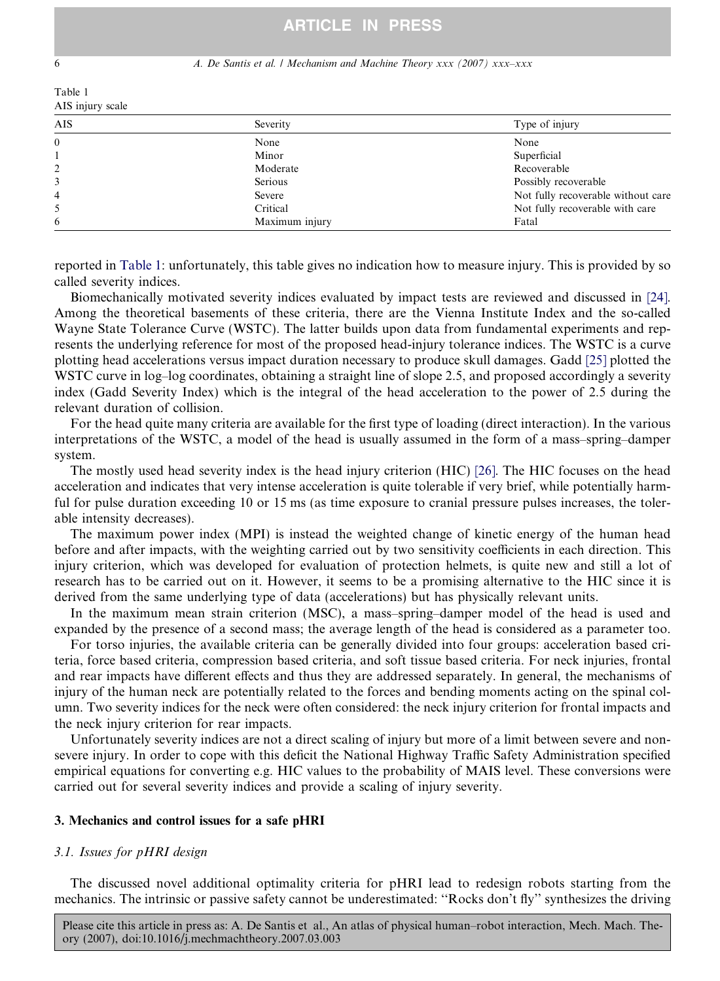|  | ł |  |
|--|---|--|
|  |   |  |
|  |   |  |

| Table 1 |                  |  |
|---------|------------------|--|
|         | AIS injury scale |  |

| <b>AIS</b>       | Severity       | Type of injury                     |
|------------------|----------------|------------------------------------|
| $\boldsymbol{0}$ | None           | None                               |
|                  | Minor          | Superficial                        |
| 2                | Moderate       | Recoverable                        |
| 3                | Serious        | Possibly recoverable               |
| 4                | Severe         | Not fully recoverable without care |
| 5                | Critical       | Not fully recoverable with care    |
| 6                | Maximum injury | Fatal                              |

reported in Table 1: unfortunately, this table gives no indication how to measure injury. This is provided by so called severity indices.

Biomechanically motivated severity indices evaluated by impact tests are reviewed and discussed in [\[24\].](#page-16-0) Among the theoretical basements of these criteria, there are the Vienna Institute Index and the so-called Wayne State Tolerance Curve (WSTC). The latter builds upon data from fundamental experiments and represents the underlying reference for most of the proposed head-injury tolerance indices. The WSTC is a curve plotting head accelerations versus impact duration necessary to produce skull damages. Gadd [\[25\]](#page-16-0) plotted the WSTC curve in log–log coordinates, obtaining a straight line of slope 2.5, and proposed accordingly a severity index (Gadd Severity Index) which is the integral of the head acceleration to the power of 2.5 during the relevant duration of collision.

For the head quite many criteria are available for the first type of loading (direct interaction). In the various interpretations of the WSTC, a model of the head is usually assumed in the form of a mass–spring–damper system.

The mostly used head severity index is the head injury criterion (HIC) [\[26\]](#page-16-0). The HIC focuses on the head acceleration and indicates that very intense acceleration is quite tolerable if very brief, while potentially harmful for pulse duration exceeding 10 or 15 ms (as time exposure to cranial pressure pulses increases, the tolerable intensity decreases).

The maximum power index (MPI) is instead the weighted change of kinetic energy of the human head before and after impacts, with the weighting carried out by two sensitivity coefficients in each direction. This injury criterion, which was developed for evaluation of protection helmets, is quite new and still a lot of research has to be carried out on it. However, it seems to be a promising alternative to the HIC since it is derived from the same underlying type of data (accelerations) but has physically relevant units.

In the maximum mean strain criterion (MSC), a mass–spring–damper model of the head is used and expanded by the presence of a second mass; the average length of the head is considered as a parameter too.

For torso injuries, the available criteria can be generally divided into four groups: acceleration based criteria, force based criteria, compression based criteria, and soft tissue based criteria. For neck injuries, frontal and rear impacts have different effects and thus they are addressed separately. In general, the mechanisms of injury of the human neck are potentially related to the forces and bending moments acting on the spinal column. Two severity indices for the neck were often considered: the neck injury criterion for frontal impacts and the neck injury criterion for rear impacts.

Unfortunately severity indices are not a direct scaling of injury but more of a limit between severe and nonsevere injury. In order to cope with this deficit the National Highway Traffic Safety Administration specified empirical equations for converting e.g. HIC values to the probability of MAIS level. These conversions were carried out for several severity indices and provide a scaling of injury severity.

#### 3. Mechanics and control issues for a safe pHRI

#### 3.1. Issues for pHRI design

The discussed novel additional optimality criteria for pHRI lead to redesign robots starting from the mechanics. The intrinsic or passive safety cannot be underestimated: ''Rocks don't fly'' synthesizes the driving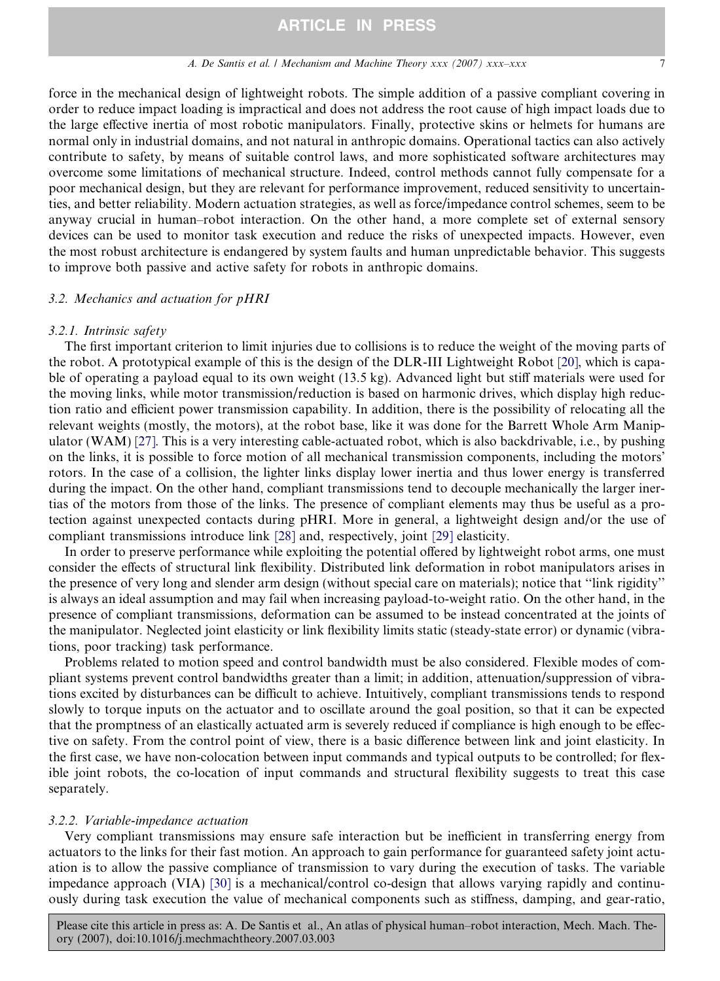#### A. De Santis et al. / Mechanism and Machine Theory xxx (2007) xxx–xxx 7

force in the mechanical design of lightweight robots. The simple addition of a passive compliant covering in order to reduce impact loading is impractical and does not address the root cause of high impact loads due to the large effective inertia of most robotic manipulators. Finally, protective skins or helmets for humans are normal only in industrial domains, and not natural in anthropic domains. Operational tactics can also actively contribute to safety, by means of suitable control laws, and more sophisticated software architectures may overcome some limitations of mechanical structure. Indeed, control methods cannot fully compensate for a poor mechanical design, but they are relevant for performance improvement, reduced sensitivity to uncertainties, and better reliability. Modern actuation strategies, as well as force/impedance control schemes, seem to be anyway crucial in human–robot interaction. On the other hand, a more complete set of external sensory devices can be used to monitor task execution and reduce the risks of unexpected impacts. However, even the most robust architecture is endangered by system faults and human unpredictable behavior. This suggests to improve both passive and active safety for robots in anthropic domains.

#### 3.2. Mechanics and actuation for pHRI

#### 3.2.1. Intrinsic safety

The first important criterion to limit injuries due to collisions is to reduce the weight of the moving parts of the robot. A prototypical example of this is the design of the DLR-III Lightweight Robot [\[20\]](#page-16-0), which is capable of operating a payload equal to its own weight (13.5 kg). Advanced light but stiff materials were used for the moving links, while motor transmission/reduction is based on harmonic drives, which display high reduction ratio and efficient power transmission capability. In addition, there is the possibility of relocating all the relevant weights (mostly, the motors), at the robot base, like it was done for the Barrett Whole Arm Manipulator (WAM) [\[27\]](#page-16-0). This is a very interesting cable-actuated robot, which is also backdrivable, i.e., by pushing on the links, it is possible to force motion of all mechanical transmission components, including the motors' rotors. In the case of a collision, the lighter links display lower inertia and thus lower energy is transferred during the impact. On the other hand, compliant transmissions tend to decouple mechanically the larger inertias of the motors from those of the links. The presence of compliant elements may thus be useful as a protection against unexpected contacts during pHRI. More in general, a lightweight design and/or the use of compliant transmissions introduce link [\[28\]](#page-16-0) and, respectively, joint [\[29\]](#page-16-0) elasticity.

In order to preserve performance while exploiting the potential offered by lightweight robot arms, one must consider the effects of structural link flexibility. Distributed link deformation in robot manipulators arises in the presence of very long and slender arm design (without special care on materials); notice that ''link rigidity'' is always an ideal assumption and may fail when increasing payload-to-weight ratio. On the other hand, in the presence of compliant transmissions, deformation can be assumed to be instead concentrated at the joints of the manipulator. Neglected joint elasticity or link flexibility limits static (steady-state error) or dynamic (vibrations, poor tracking) task performance.

Problems related to motion speed and control bandwidth must be also considered. Flexible modes of compliant systems prevent control bandwidths greater than a limit; in addition, attenuation/suppression of vibrations excited by disturbances can be difficult to achieve. Intuitively, compliant transmissions tends to respond slowly to torque inputs on the actuator and to oscillate around the goal position, so that it can be expected that the promptness of an elastically actuated arm is severely reduced if compliance is high enough to be effective on safety. From the control point of view, there is a basic difference between link and joint elasticity. In the first case, we have non-colocation between input commands and typical outputs to be controlled; for flexible joint robots, the co-location of input commands and structural flexibility suggests to treat this case separately.

#### 3.2.2. Variable-impedance actuation

Very compliant transmissions may ensure safe interaction but be inefficient in transferring energy from actuators to the links for their fast motion. An approach to gain performance for guaranteed safety joint actuation is to allow the passive compliance of transmission to vary during the execution of tasks. The variable impedance approach (VIA) [\[30\]](#page-16-0) is a mechanical/control co-design that allows varying rapidly and continuously during task execution the value of mechanical components such as stiffness, damping, and gear-ratio,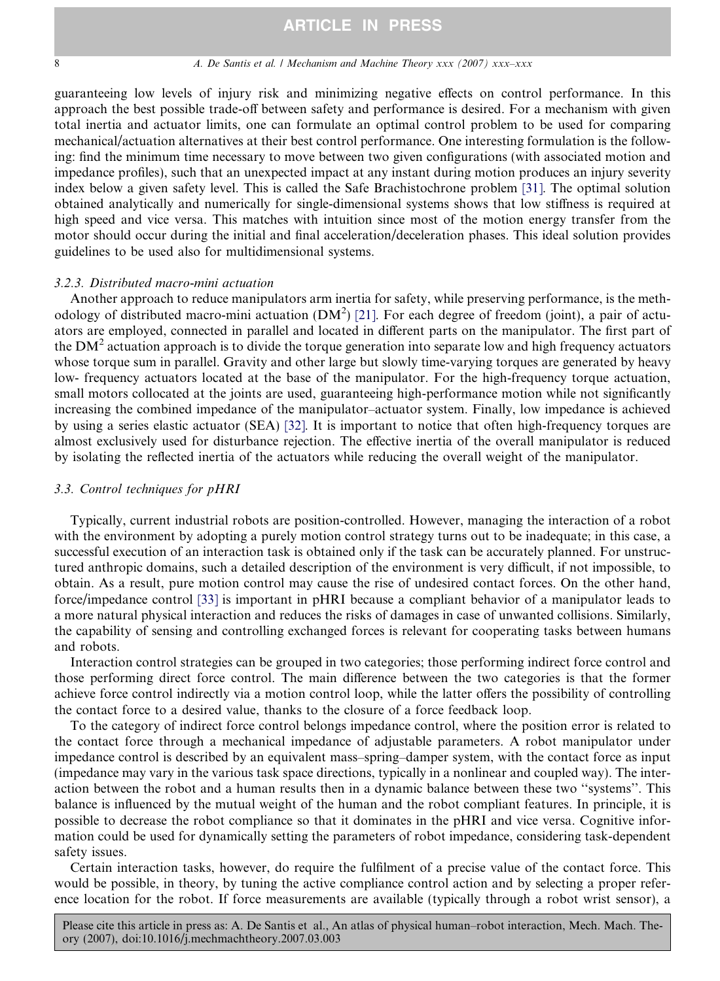#### 8 A. De Santis et al. / Mechanism and Machine Theory xxx (2007) xxx-xxx

guaranteeing low levels of injury risk and minimizing negative effects on control performance. In this approach the best possible trade-off between safety and performance is desired. For a mechanism with given total inertia and actuator limits, one can formulate an optimal control problem to be used for comparing mechanical/actuation alternatives at their best control performance. One interesting formulation is the following: find the minimum time necessary to move between two given configurations (with associated motion and impedance profiles), such that an unexpected impact at any instant during motion produces an injury severity index below a given safety level. This is called the Safe Brachistochrone problem [\[31\]](#page-16-0). The optimal solution obtained analytically and numerically for single-dimensional systems shows that low stiffness is required at high speed and vice versa. This matches with intuition since most of the motion energy transfer from the motor should occur during the initial and final acceleration/deceleration phases. This ideal solution provides guidelines to be used also for multidimensional systems.

#### 3.2.3. Distributed macro-mini actuation

Another approach to reduce manipulators arm inertia for safety, while preserving performance, is the methodology of distributed macro-mini actuation  $(DM^2)$  [\[21\].](#page-16-0) For each degree of freedom (joint), a pair of actuators are employed, connected in parallel and located in different parts on the manipulator. The first part of the  $DM<sup>2</sup>$  actuation approach is to divide the torque generation into separate low and high frequency actuators whose torque sum in parallel. Gravity and other large but slowly time-varying torques are generated by heavy low- frequency actuators located at the base of the manipulator. For the high-frequency torque actuation, small motors collocated at the joints are used, guaranteeing high-performance motion while not significantly increasing the combined impedance of the manipulator–actuator system. Finally, low impedance is achieved by using a series elastic actuator (SEA) [\[32\].](#page-16-0) It is important to notice that often high-frequency torques are almost exclusively used for disturbance rejection. The effective inertia of the overall manipulator is reduced by isolating the reflected inertia of the actuators while reducing the overall weight of the manipulator.

#### 3.3. Control techniques for pHRI

Typically, current industrial robots are position-controlled. However, managing the interaction of a robot with the environment by adopting a purely motion control strategy turns out to be inadequate; in this case, a successful execution of an interaction task is obtained only if the task can be accurately planned. For unstructured anthropic domains, such a detailed description of the environment is very difficult, if not impossible, to obtain. As a result, pure motion control may cause the rise of undesired contact forces. On the other hand, force/impedance control [\[33\]](#page-16-0) is important in pHRI because a compliant behavior of a manipulator leads to a more natural physical interaction and reduces the risks of damages in case of unwanted collisions. Similarly, the capability of sensing and controlling exchanged forces is relevant for cooperating tasks between humans and robots.

Interaction control strategies can be grouped in two categories; those performing indirect force control and those performing direct force control. The main difference between the two categories is that the former achieve force control indirectly via a motion control loop, while the latter offers the possibility of controlling the contact force to a desired value, thanks to the closure of a force feedback loop.

To the category of indirect force control belongs impedance control, where the position error is related to the contact force through a mechanical impedance of adjustable parameters. A robot manipulator under impedance control is described by an equivalent mass–spring–damper system, with the contact force as input (impedance may vary in the various task space directions, typically in a nonlinear and coupled way). The interaction between the robot and a human results then in a dynamic balance between these two ''systems''. This balance is influenced by the mutual weight of the human and the robot compliant features. In principle, it is possible to decrease the robot compliance so that it dominates in the pHRI and vice versa. Cognitive information could be used for dynamically setting the parameters of robot impedance, considering task-dependent safety issues.

Certain interaction tasks, however, do require the fulfilment of a precise value of the contact force. This would be possible, in theory, by tuning the active compliance control action and by selecting a proper reference location for the robot. If force measurements are available (typically through a robot wrist sensor), a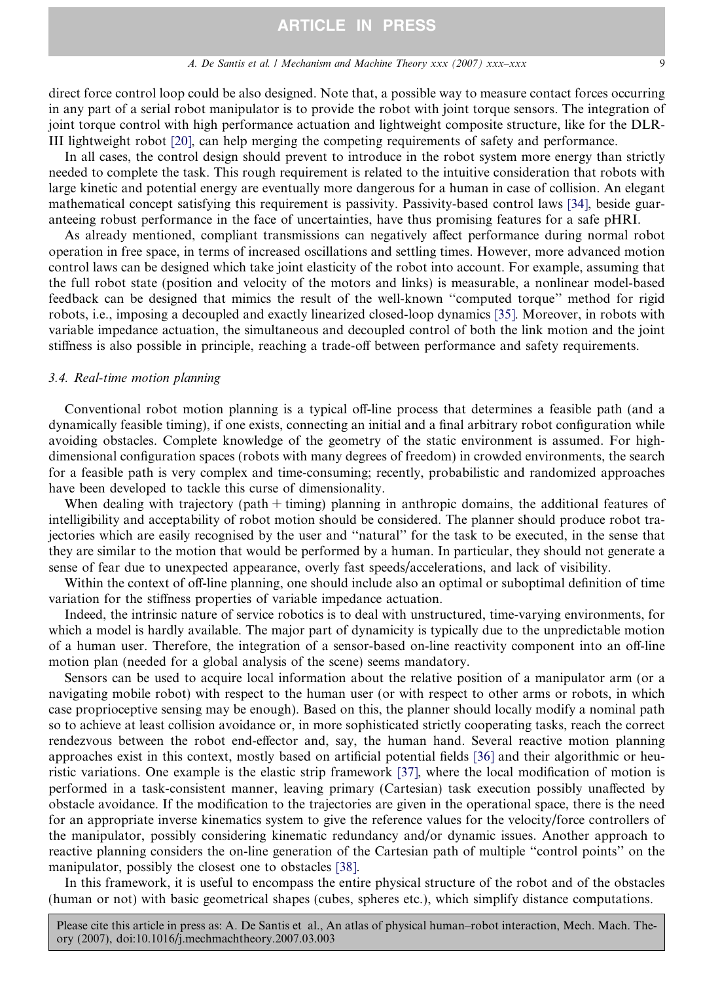direct force control loop could be also designed. Note that, a possible way to measure contact forces occurring in any part of a serial robot manipulator is to provide the robot with joint torque sensors. The integration of joint torque control with high performance actuation and lightweight composite structure, like for the DLR-III lightweight robot [\[20\],](#page-16-0) can help merging the competing requirements of safety and performance.

In all cases, the control design should prevent to introduce in the robot system more energy than strictly needed to complete the task. This rough requirement is related to the intuitive consideration that robots with large kinetic and potential energy are eventually more dangerous for a human in case of collision. An elegant mathematical concept satisfying this requirement is passivity. Passivity-based control laws [\[34\],](#page-16-0) beside guaranteeing robust performance in the face of uncertainties, have thus promising features for a safe pHRI.

As already mentioned, compliant transmissions can negatively affect performance during normal robot operation in free space, in terms of increased oscillations and settling times. However, more advanced motion control laws can be designed which take joint elasticity of the robot into account. For example, assuming that the full robot state (position and velocity of the motors and links) is measurable, a nonlinear model-based feedback can be designed that mimics the result of the well-known ''computed torque'' method for rigid robots, i.e., imposing a decoupled and exactly linearized closed-loop dynamics [\[35\]](#page-16-0). Moreover, in robots with variable impedance actuation, the simultaneous and decoupled control of both the link motion and the joint stiffness is also possible in principle, reaching a trade-off between performance and safety requirements.

#### 3.4. Real-time motion planning

Conventional robot motion planning is a typical off-line process that determines a feasible path (and a dynamically feasible timing), if one exists, connecting an initial and a final arbitrary robot configuration while avoiding obstacles. Complete knowledge of the geometry of the static environment is assumed. For highdimensional configuration spaces (robots with many degrees of freedom) in crowded environments, the search for a feasible path is very complex and time-consuming; recently, probabilistic and randomized approaches have been developed to tackle this curse of dimensionality.

When dealing with trajectory (path + timing) planning in anthropic domains, the additional features of intelligibility and acceptability of robot motion should be considered. The planner should produce robot trajectories which are easily recognised by the user and ''natural'' for the task to be executed, in the sense that they are similar to the motion that would be performed by a human. In particular, they should not generate a sense of fear due to unexpected appearance, overly fast speeds/accelerations, and lack of visibility.

Within the context of off-line planning, one should include also an optimal or suboptimal definition of time variation for the stiffness properties of variable impedance actuation.

Indeed, the intrinsic nature of service robotics is to deal with unstructured, time-varying environments, for which a model is hardly available. The major part of dynamicity is typically due to the unpredictable motion of a human user. Therefore, the integration of a sensor-based on-line reactivity component into an off-line motion plan (needed for a global analysis of the scene) seems mandatory.

Sensors can be used to acquire local information about the relative position of a manipulator arm (or a navigating mobile robot) with respect to the human user (or with respect to other arms or robots, in which case proprioceptive sensing may be enough). Based on this, the planner should locally modify a nominal path so to achieve at least collision avoidance or, in more sophisticated strictly cooperating tasks, reach the correct rendezvous between the robot end-effector and, say, the human hand. Several reactive motion planning approaches exist in this context, mostly based on artificial potential fields [\[36\]](#page-16-0) and their algorithmic or heuristic variations. One example is the elastic strip framework [\[37\],](#page-16-0) where the local modification of motion is performed in a task-consistent manner, leaving primary (Cartesian) task execution possibly unaffected by obstacle avoidance. If the modification to the trajectories are given in the operational space, there is the need for an appropriate inverse kinematics system to give the reference values for the velocity/force controllers of the manipulator, possibly considering kinematic redundancy and/or dynamic issues. Another approach to reactive planning considers the on-line generation of the Cartesian path of multiple ''control points'' on the manipulator, possibly the closest one to obstacles [\[38\].](#page-16-0)

In this framework, it is useful to encompass the entire physical structure of the robot and of the obstacles (human or not) with basic geometrical shapes (cubes, spheres etc.), which simplify distance computations.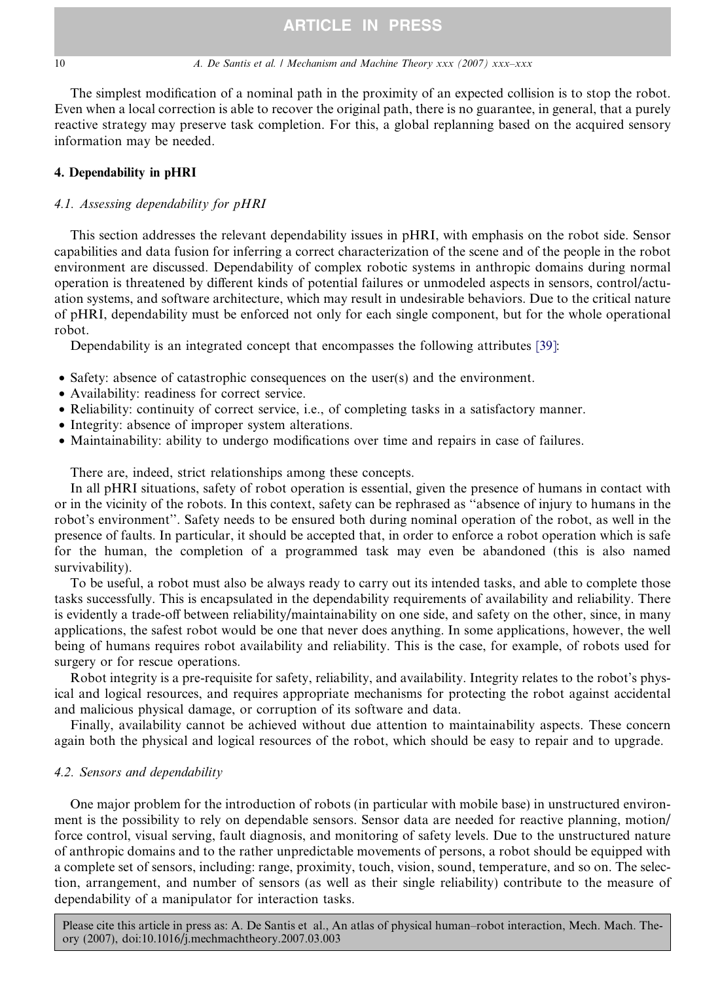#### <span id="page-9-0"></span>10 A. De Santis et al. / Mechanism and Machine Theory xxx (2007) xxx-xxx

The simplest modification of a nominal path in the proximity of an expected collision is to stop the robot. Even when a local correction is able to recover the original path, there is no guarantee, in general, that a purely reactive strategy may preserve task completion. For this, a global replanning based on the acquired sensory information may be needed.

## 4. Dependability in pHRI

# 4.1. Assessing dependability for pHRI

This section addresses the relevant dependability issues in pHRI, with emphasis on the robot side. Sensor capabilities and data fusion for inferring a correct characterization of the scene and of the people in the robot environment are discussed. Dependability of complex robotic systems in anthropic domains during normal operation is threatened by different kinds of potential failures or unmodeled aspects in sensors, control/actuation systems, and software architecture, which may result in undesirable behaviors. Due to the critical nature of pHRI, dependability must be enforced not only for each single component, but for the whole operational robot.

Dependability is an integrated concept that encompasses the following attributes [\[39\]:](#page-16-0)

- Safety: absence of catastrophic consequences on the user(s) and the environment.
- Availability: readiness for correct service.
- Reliability: continuity of correct service, i.e., of completing tasks in a satisfactory manner.
- Integrity: absence of improper system alterations.
- Maintainability: ability to undergo modifications over time and repairs in case of failures.

There are, indeed, strict relationships among these concepts.

In all pHRI situations, safety of robot operation is essential, given the presence of humans in contact with or in the vicinity of the robots. In this context, safety can be rephrased as ''absence of injury to humans in the robot's environment''. Safety needs to be ensured both during nominal operation of the robot, as well in the presence of faults. In particular, it should be accepted that, in order to enforce a robot operation which is safe for the human, the completion of a programmed task may even be abandoned (this is also named survivability).

To be useful, a robot must also be always ready to carry out its intended tasks, and able to complete those tasks successfully. This is encapsulated in the dependability requirements of availability and reliability. There is evidently a trade-off between reliability/maintainability on one side, and safety on the other, since, in many applications, the safest robot would be one that never does anything. In some applications, however, the well being of humans requires robot availability and reliability. This is the case, for example, of robots used for surgery or for rescue operations.

Robot integrity is a pre-requisite for safety, reliability, and availability. Integrity relates to the robot's physical and logical resources, and requires appropriate mechanisms for protecting the robot against accidental and malicious physical damage, or corruption of its software and data.

Finally, availability cannot be achieved without due attention to maintainability aspects. These concern again both the physical and logical resources of the robot, which should be easy to repair and to upgrade.

# 4.2. Sensors and dependability

One major problem for the introduction of robots (in particular with mobile base) in unstructured environment is the possibility to rely on dependable sensors. Sensor data are needed for reactive planning, motion/ force control, visual serving, fault diagnosis, and monitoring of safety levels. Due to the unstructured nature of anthropic domains and to the rather unpredictable movements of persons, a robot should be equipped with a complete set of sensors, including: range, proximity, touch, vision, sound, temperature, and so on. The selection, arrangement, and number of sensors (as well as their single reliability) contribute to the measure of dependability of a manipulator for interaction tasks.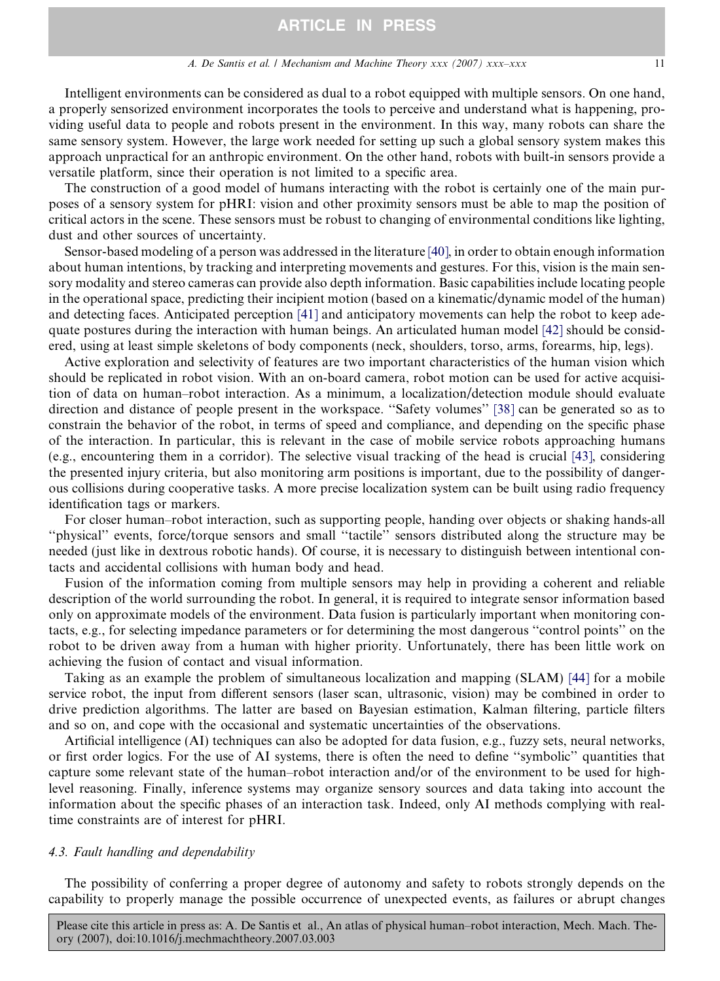Intelligent environments can be considered as dual to a robot equipped with multiple sensors. On one hand, a properly sensorized environment incorporates the tools to perceive and understand what is happening, providing useful data to people and robots present in the environment. In this way, many robots can share the same sensory system. However, the large work needed for setting up such a global sensory system makes this approach unpractical for an anthropic environment. On the other hand, robots with built-in sensors provide a versatile platform, since their operation is not limited to a specific area.

The construction of a good model of humans interacting with the robot is certainly one of the main purposes of a sensory system for pHRI: vision and other proximity sensors must be able to map the position of critical actors in the scene. These sensors must be robust to changing of environmental conditions like lighting, dust and other sources of uncertainty.

Sensor-based modeling of a person was addressed in the literature [\[40\]](#page-16-0), in order to obtain enough information about human intentions, by tracking and interpreting movements and gestures. For this, vision is the main sensory modality and stereo cameras can provide also depth information. Basic capabilities include locating people in the operational space, predicting their incipient motion (based on a kinematic/dynamic model of the human) and detecting faces. Anticipated perception [\[41\]](#page-16-0) and anticipatory movements can help the robot to keep adequate postures during the interaction with human beings. An articulated human model [\[42\]](#page-16-0) should be considered, using at least simple skeletons of body components (neck, shoulders, torso, arms, forearms, hip, legs).

Active exploration and selectivity of features are two important characteristics of the human vision which should be replicated in robot vision. With an on-board camera, robot motion can be used for active acquisition of data on human–robot interaction. As a minimum, a localization/detection module should evaluate direction and distance of people present in the workspace. ''Safety volumes'' [\[38\]](#page-16-0) can be generated so as to constrain the behavior of the robot, in terms of speed and compliance, and depending on the specific phase of the interaction. In particular, this is relevant in the case of mobile service robots approaching humans (e.g., encountering them in a corridor). The selective visual tracking of the head is crucial [\[43\],](#page-16-0) considering the presented injury criteria, but also monitoring arm positions is important, due to the possibility of dangerous collisions during cooperative tasks. A more precise localization system can be built using radio frequency identification tags or markers.

For closer human–robot interaction, such as supporting people, handing over objects or shaking hands-all ''physical'' events, force/torque sensors and small ''tactile'' sensors distributed along the structure may be needed (just like in dextrous robotic hands). Of course, it is necessary to distinguish between intentional contacts and accidental collisions with human body and head.

Fusion of the information coming from multiple sensors may help in providing a coherent and reliable description of the world surrounding the robot. In general, it is required to integrate sensor information based only on approximate models of the environment. Data fusion is particularly important when monitoring contacts, e.g., for selecting impedance parameters or for determining the most dangerous ''control points'' on the robot to be driven away from a human with higher priority. Unfortunately, there has been little work on achieving the fusion of contact and visual information.

Taking as an example the problem of simultaneous localization and mapping (SLAM) [\[44\]](#page-16-0) for a mobile service robot, the input from different sensors (laser scan, ultrasonic, vision) may be combined in order to drive prediction algorithms. The latter are based on Bayesian estimation, Kalman filtering, particle filters and so on, and cope with the occasional and systematic uncertainties of the observations.

Artificial intelligence (AI) techniques can also be adopted for data fusion, e.g., fuzzy sets, neural networks, or first order logics. For the use of AI systems, there is often the need to define ''symbolic'' quantities that capture some relevant state of the human–robot interaction and/or of the environment to be used for highlevel reasoning. Finally, inference systems may organize sensory sources and data taking into account the information about the specific phases of an interaction task. Indeed, only AI methods complying with realtime constraints are of interest for pHRI.

#### 4.3. Fault handling and dependability

The possibility of conferring a proper degree of autonomy and safety to robots strongly depends on the capability to properly manage the possible occurrence of unexpected events, as failures or abrupt changes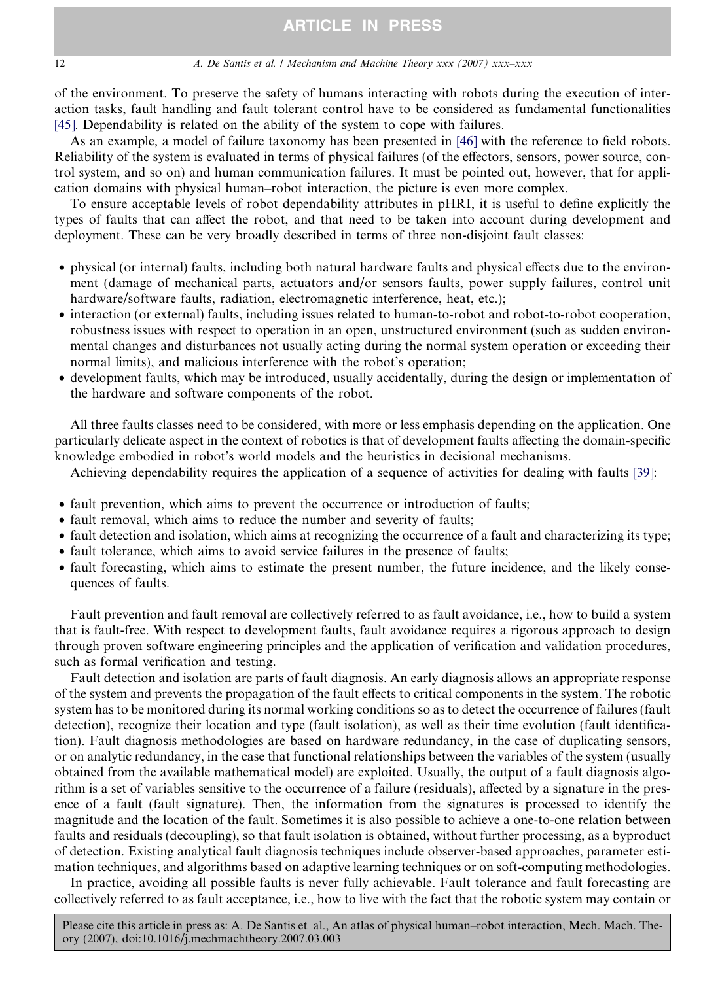of the environment. To preserve the safety of humans interacting with robots during the execution of interaction tasks, fault handling and fault tolerant control have to be considered as fundamental functionalities [\[45\].](#page-16-0) Dependability is related on the ability of the system to cope with failures.

As an example, a model of failure taxonomy has been presented in [\[46\]](#page-16-0) with the reference to field robots. Reliability of the system is evaluated in terms of physical failures (of the effectors, sensors, power source, control system, and so on) and human communication failures. It must be pointed out, however, that for application domains with physical human–robot interaction, the picture is even more complex.

To ensure acceptable levels of robot dependability attributes in pHRI, it is useful to define explicitly the types of faults that can affect the robot, and that need to be taken into account during development and deployment. These can be very broadly described in terms of three non-disjoint fault classes:

- physical (or internal) faults, including both natural hardware faults and physical effects due to the environment (damage of mechanical parts, actuators and/or sensors faults, power supply failures, control unit hardware/software faults, radiation, electromagnetic interference, heat, etc.);
- interaction (or external) faults, including issues related to human-to-robot and robot-to-robot cooperation, robustness issues with respect to operation in an open, unstructured environment (such as sudden environmental changes and disturbances not usually acting during the normal system operation or exceeding their normal limits), and malicious interference with the robot's operation;
- development faults, which may be introduced, usually accidentally, during the design or implementation of the hardware and software components of the robot.

All three faults classes need to be considered, with more or less emphasis depending on the application. One particularly delicate aspect in the context of robotics is that of development faults affecting the domain-specific knowledge embodied in robot's world models and the heuristics in decisional mechanisms.

Achieving dependability requires the application of a sequence of activities for dealing with faults [\[39\]](#page-16-0):

- fault prevention, which aims to prevent the occurrence or introduction of faults;
- fault removal, which aims to reduce the number and severity of faults;
- fault detection and isolation, which aims at recognizing the occurrence of a fault and characterizing its type;
- fault tolerance, which aims to avoid service failures in the presence of faults;
- fault forecasting, which aims to estimate the present number, the future incidence, and the likely consequences of faults.

Fault prevention and fault removal are collectively referred to as fault avoidance, i.e., how to build a system that is fault-free. With respect to development faults, fault avoidance requires a rigorous approach to design through proven software engineering principles and the application of verification and validation procedures, such as formal verification and testing.

Fault detection and isolation are parts of fault diagnosis. An early diagnosis allows an appropriate response of the system and prevents the propagation of the fault effects to critical components in the system. The robotic system has to be monitored during its normal working conditions so as to detect the occurrence of failures (fault detection), recognize their location and type (fault isolation), as well as their time evolution (fault identification). Fault diagnosis methodologies are based on hardware redundancy, in the case of duplicating sensors, or on analytic redundancy, in the case that functional relationships between the variables of the system (usually obtained from the available mathematical model) are exploited. Usually, the output of a fault diagnosis algorithm is a set of variables sensitive to the occurrence of a failure (residuals), affected by a signature in the presence of a fault (fault signature). Then, the information from the signatures is processed to identify the magnitude and the location of the fault. Sometimes it is also possible to achieve a one-to-one relation between faults and residuals (decoupling), so that fault isolation is obtained, without further processing, as a byproduct of detection. Existing analytical fault diagnosis techniques include observer-based approaches, parameter estimation techniques, and algorithms based on adaptive learning techniques or on soft-computing methodologies.

In practice, avoiding all possible faults is never fully achievable. Fault tolerance and fault forecasting are collectively referred to as fault acceptance, i.e., how to live with the fact that the robotic system may contain or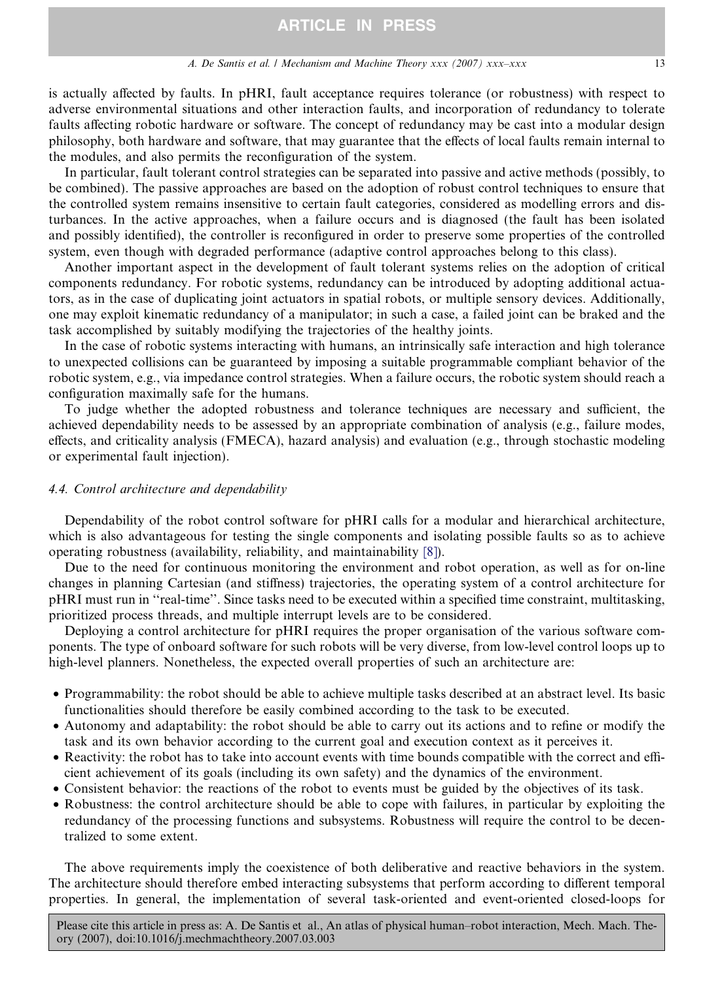is actually affected by faults. In pHRI, fault acceptance requires tolerance (or robustness) with respect to adverse environmental situations and other interaction faults, and incorporation of redundancy to tolerate faults affecting robotic hardware or software. The concept of redundancy may be cast into a modular design philosophy, both hardware and software, that may guarantee that the effects of local faults remain internal to the modules, and also permits the reconfiguration of the system.

In particular, fault tolerant control strategies can be separated into passive and active methods (possibly, to be combined). The passive approaches are based on the adoption of robust control techniques to ensure that the controlled system remains insensitive to certain fault categories, considered as modelling errors and disturbances. In the active approaches, when a failure occurs and is diagnosed (the fault has been isolated and possibly identified), the controller is reconfigured in order to preserve some properties of the controlled system, even though with degraded performance (adaptive control approaches belong to this class).

Another important aspect in the development of fault tolerant systems relies on the adoption of critical components redundancy. For robotic systems, redundancy can be introduced by adopting additional actuators, as in the case of duplicating joint actuators in spatial robots, or multiple sensory devices. Additionally, one may exploit kinematic redundancy of a manipulator; in such a case, a failed joint can be braked and the task accomplished by suitably modifying the trajectories of the healthy joints.

In the case of robotic systems interacting with humans, an intrinsically safe interaction and high tolerance to unexpected collisions can be guaranteed by imposing a suitable programmable compliant behavior of the robotic system, e.g., via impedance control strategies. When a failure occurs, the robotic system should reach a configuration maximally safe for the humans.

To judge whether the adopted robustness and tolerance techniques are necessary and sufficient, the achieved dependability needs to be assessed by an appropriate combination of analysis (e.g., failure modes, effects, and criticality analysis (FMECA), hazard analysis) and evaluation (e.g., through stochastic modeling or experimental fault injection).

## 4.4. Control architecture and dependability

Dependability of the robot control software for pHRI calls for a modular and hierarchical architecture, which is also advantageous for testing the single components and isolating possible faults so as to achieve operating robustness (availability, reliability, and maintainability [\[8\]\)](#page-15-0).

Due to the need for continuous monitoring the environment and robot operation, as well as for on-line changes in planning Cartesian (and stiffness) trajectories, the operating system of a control architecture for pHRI must run in ''real-time''. Since tasks need to be executed within a specified time constraint, multitasking, prioritized process threads, and multiple interrupt levels are to be considered.

Deploying a control architecture for pHRI requires the proper organisation of the various software components. The type of onboard software for such robots will be very diverse, from low-level control loops up to high-level planners. Nonetheless, the expected overall properties of such an architecture are:

- Programmability: the robot should be able to achieve multiple tasks described at an abstract level. Its basic functionalities should therefore be easily combined according to the task to be executed.
- Autonomy and adaptability: the robot should be able to carry out its actions and to refine or modify the task and its own behavior according to the current goal and execution context as it perceives it.
- Reactivity: the robot has to take into account events with time bounds compatible with the correct and efficient achievement of its goals (including its own safety) and the dynamics of the environment.
- Consistent behavior: the reactions of the robot to events must be guided by the objectives of its task.
- Robustness: the control architecture should be able to cope with failures, in particular by exploiting the redundancy of the processing functions and subsystems. Robustness will require the control to be decentralized to some extent.

The above requirements imply the coexistence of both deliberative and reactive behaviors in the system. The architecture should therefore embed interacting subsystems that perform according to different temporal properties. In general, the implementation of several task-oriented and event-oriented closed-loops for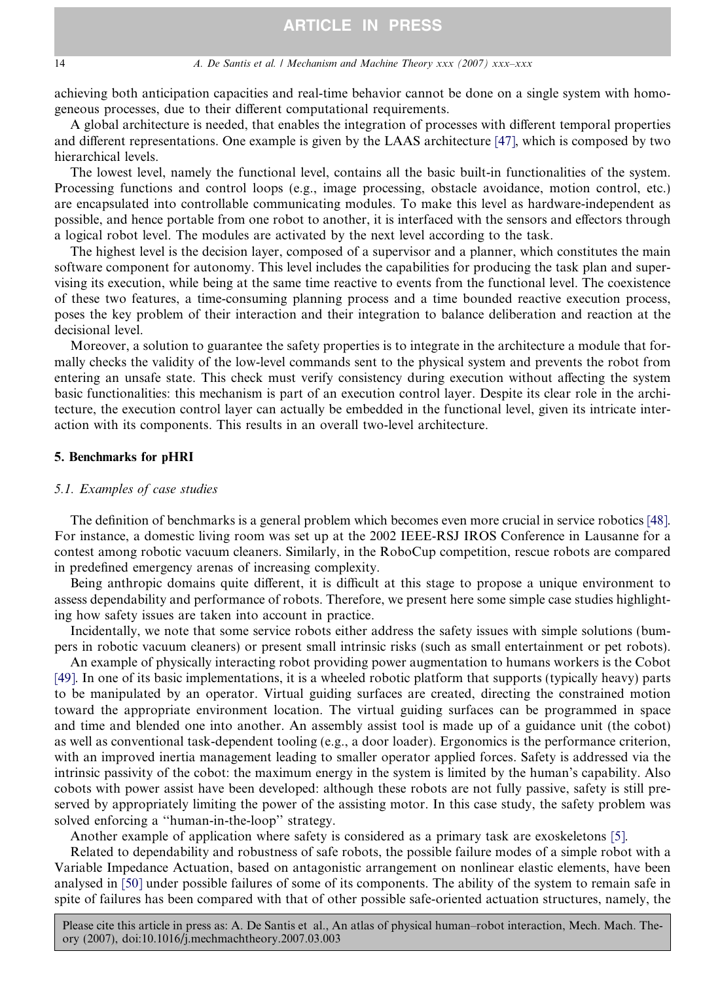#### 14 **A. De Santis et al. / Mechanism and Machine Theory xxx** (2007) xxx-xxx

achieving both anticipation capacities and real-time behavior cannot be done on a single system with homogeneous processes, due to their different computational requirements.

A global architecture is needed, that enables the integration of processes with different temporal properties and different representations. One example is given by the LAAS architecture [\[47\],](#page-16-0) which is composed by two hierarchical levels.

The lowest level, namely the functional level, contains all the basic built-in functionalities of the system. Processing functions and control loops (e.g., image processing, obstacle avoidance, motion control, etc.) are encapsulated into controllable communicating modules. To make this level as hardware-independent as possible, and hence portable from one robot to another, it is interfaced with the sensors and effectors through a logical robot level. The modules are activated by the next level according to the task.

The highest level is the decision layer, composed of a supervisor and a planner, which constitutes the main software component for autonomy. This level includes the capabilities for producing the task plan and supervising its execution, while being at the same time reactive to events from the functional level. The coexistence of these two features, a time-consuming planning process and a time bounded reactive execution process, poses the key problem of their interaction and their integration to balance deliberation and reaction at the decisional level.

Moreover, a solution to guarantee the safety properties is to integrate in the architecture a module that formally checks the validity of the low-level commands sent to the physical system and prevents the robot from entering an unsafe state. This check must verify consistency during execution without affecting the system basic functionalities: this mechanism is part of an execution control layer. Despite its clear role in the architecture, the execution control layer can actually be embedded in the functional level, given its intricate interaction with its components. This results in an overall two-level architecture.

#### 5. Benchmarks for pHRI

#### 5.1. Examples of case studies

The definition of benchmarks is a general problem which becomes even more crucial in service robotics [\[48\].](#page-16-0) For instance, a domestic living room was set up at the 2002 IEEE-RSJ IROS Conference in Lausanne for a contest among robotic vacuum cleaners. Similarly, in the RoboCup competition, rescue robots are compared in predefined emergency arenas of increasing complexity.

Being anthropic domains quite different, it is difficult at this stage to propose a unique environment to assess dependability and performance of robots. Therefore, we present here some simple case studies highlighting how safety issues are taken into account in practice.

Incidentally, we note that some service robots either address the safety issues with simple solutions (bumpers in robotic vacuum cleaners) or present small intrinsic risks (such as small entertainment or pet robots).

An example of physically interacting robot providing power augmentation to humans workers is the Cobot [\[49\].](#page-16-0) In one of its basic implementations, it is a wheeled robotic platform that supports (typically heavy) parts to be manipulated by an operator. Virtual guiding surfaces are created, directing the constrained motion toward the appropriate environment location. The virtual guiding surfaces can be programmed in space and time and blended one into another. An assembly assist tool is made up of a guidance unit (the cobot) as well as conventional task-dependent tooling (e.g., a door loader). Ergonomics is the performance criterion, with an improved inertia management leading to smaller operator applied forces. Safety is addressed via the intrinsic passivity of the cobot: the maximum energy in the system is limited by the human's capability. Also cobots with power assist have been developed: although these robots are not fully passive, safety is still preserved by appropriately limiting the power of the assisting motor. In this case study, the safety problem was solved enforcing a ''human-in-the-loop'' strategy.

Another example of application where safety is considered as a primary task are exoskeletons [\[5\]](#page-15-0).

Related to dependability and robustness of safe robots, the possible failure modes of a simple robot with a Variable Impedance Actuation, based on antagonistic arrangement on nonlinear elastic elements, have been analysed in [\[50\]](#page-16-0) under possible failures of some of its components. The ability of the system to remain safe in spite of failures has been compared with that of other possible safe-oriented actuation structures, namely, the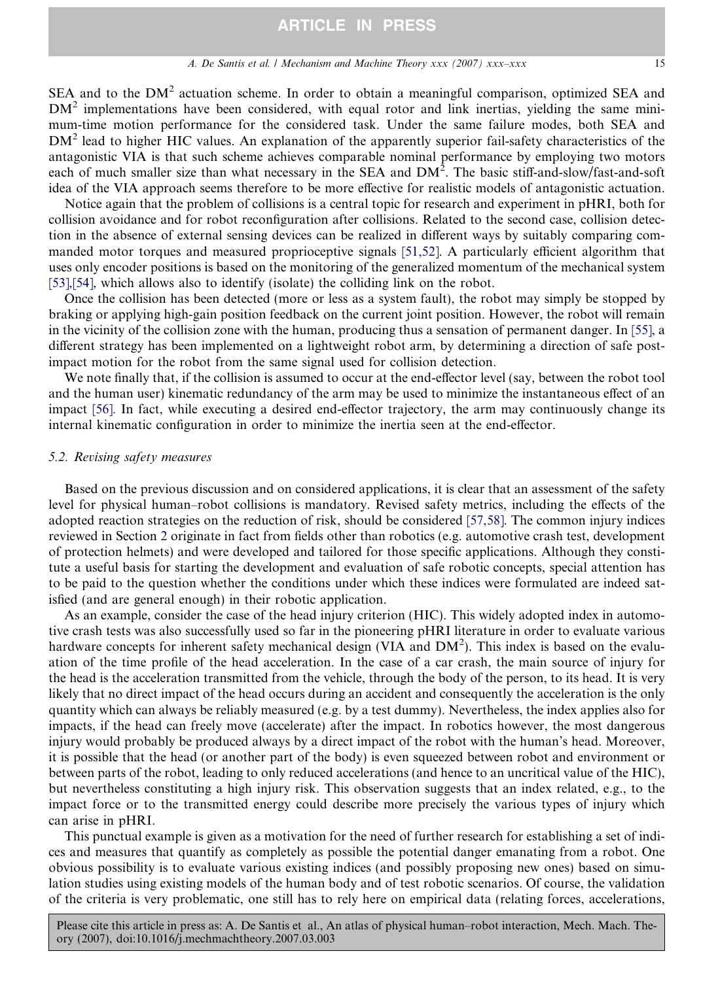SEA and to the DM<sup>2</sup> actuation scheme. In order to obtain a meaningful comparison, optimized SEA and DM<sup>2</sup> implementations have been considered, with equal rotor and link inertias, yielding the same minimum-time motion performance for the considered task. Under the same failure modes, both SEA and DM<sup>2</sup> lead to higher HIC values. An explanation of the apparently superior fail-safety characteristics of the antagonistic VIA is that such scheme achieves comparable nominal performance by employing two motors each of much smaller size than what necessary in the SEA and  $DM<sup>2</sup>$ . The basic stiff-and-slow/fast-and-soft idea of the VIA approach seems therefore to be more effective for realistic models of antagonistic actuation.

Notice again that the problem of collisions is a central topic for research and experiment in pHRI, both for collision avoidance and for robot reconfiguration after collisions. Related to the second case, collision detection in the absence of external sensing devices can be realized in different ways by suitably comparing commanded motor torques and measured proprioceptive signals [\[51,52\].](#page-17-0) A particularly efficient algorithm that uses only encoder positions is based on the monitoring of the generalized momentum of the mechanical system [\[53\]](#page-17-0),[\[54\]](#page-17-0), which allows also to identify (isolate) the colliding link on the robot.

Once the collision has been detected (more or less as a system fault), the robot may simply be stopped by braking or applying high-gain position feedback on the current joint position. However, the robot will remain in the vicinity of the collision zone with the human, producing thus a sensation of permanent danger. In [\[55\],](#page-17-0) a different strategy has been implemented on a lightweight robot arm, by determining a direction of safe postimpact motion for the robot from the same signal used for collision detection.

We note finally that, if the collision is assumed to occur at the end-effector level (say, between the robot tool and the human user) kinematic redundancy of the arm may be used to minimize the instantaneous effect of an impact [\[56\]](#page-17-0). In fact, while executing a desired end-effector trajectory, the arm may continuously change its internal kinematic configuration in order to minimize the inertia seen at the end-effector.

### 5.2. Revising safety measures

Based on the previous discussion and on considered applications, it is clear that an assessment of the safety level for physical human–robot collisions is mandatory. Revised safety metrics, including the effects of the adopted reaction strategies on the reduction of risk, should be considered [\[57,58\]](#page-17-0). The common injury indices reviewed in Section [2](#page-3-0) originate in fact from fields other than robotics (e.g. automotive crash test, development of protection helmets) and were developed and tailored for those specific applications. Although they constitute a useful basis for starting the development and evaluation of safe robotic concepts, special attention has to be paid to the question whether the conditions under which these indices were formulated are indeed satisfied (and are general enough) in their robotic application.

As an example, consider the case of the head injury criterion (HIC). This widely adopted index in automotive crash tests was also successfully used so far in the pioneering pHRI literature in order to evaluate various hardware concepts for inherent safety mechanical design (VIA and DM<sup>2</sup>). This index is based on the evaluation of the time profile of the head acceleration. In the case of a car crash, the main source of injury for the head is the acceleration transmitted from the vehicle, through the body of the person, to its head. It is very likely that no direct impact of the head occurs during an accident and consequently the acceleration is the only quantity which can always be reliably measured (e.g. by a test dummy). Nevertheless, the index applies also for impacts, if the head can freely move (accelerate) after the impact. In robotics however, the most dangerous injury would probably be produced always by a direct impact of the robot with the human's head. Moreover, it is possible that the head (or another part of the body) is even squeezed between robot and environment or between parts of the robot, leading to only reduced accelerations (and hence to an uncritical value of the HIC), but nevertheless constituting a high injury risk. This observation suggests that an index related, e.g., to the impact force or to the transmitted energy could describe more precisely the various types of injury which can arise in pHRI.

This punctual example is given as a motivation for the need of further research for establishing a set of indices and measures that quantify as completely as possible the potential danger emanating from a robot. One obvious possibility is to evaluate various existing indices (and possibly proposing new ones) based on simulation studies using existing models of the human body and of test robotic scenarios. Of course, the validation of the criteria is very problematic, one still has to rely here on empirical data (relating forces, accelerations,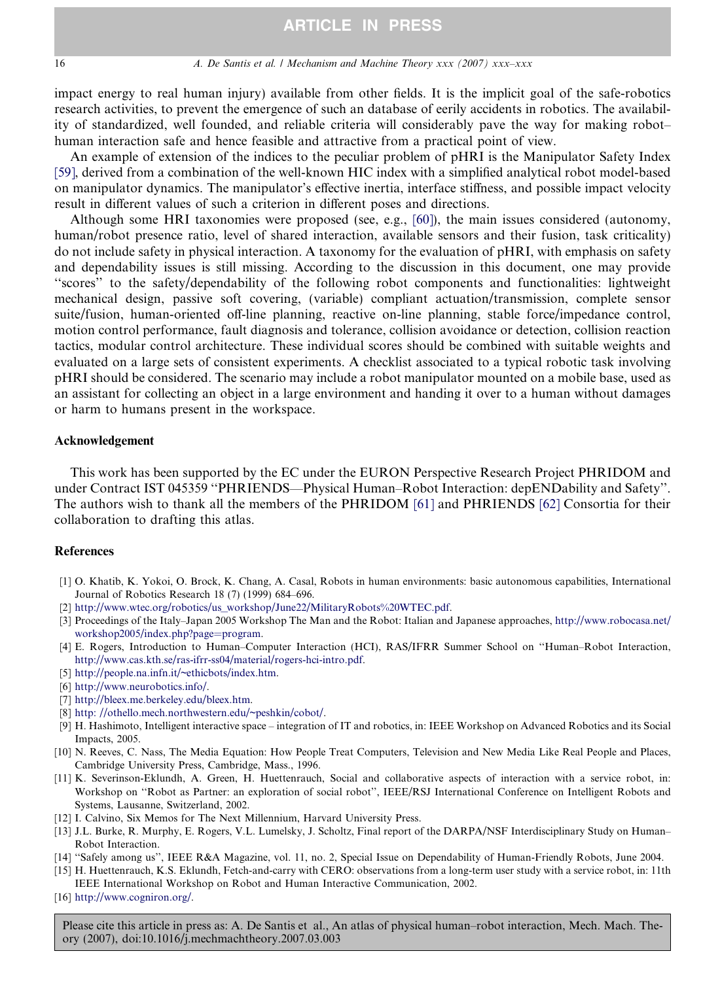<span id="page-15-0"></span>impact energy to real human injury) available from other fields. It is the implicit goal of the safe-robotics research activities, to prevent the emergence of such an database of eerily accidents in robotics. The availability of standardized, well founded, and reliable criteria will considerably pave the way for making robot– human interaction safe and hence feasible and attractive from a practical point of view.

An example of extension of the indices to the peculiar problem of pHRI is the Manipulator Safety Index [\[59\],](#page-17-0) derived from a combination of the well-known HIC index with a simplified analytical robot model-based on manipulator dynamics. The manipulator's effective inertia, interface stiffness, and possible impact velocity result in different values of such a criterion in different poses and directions.

Although some HRI taxonomies were proposed (see, e.g., [\[60\]](#page-17-0)), the main issues considered (autonomy, human/robot presence ratio, level of shared interaction, available sensors and their fusion, task criticality) do not include safety in physical interaction. A taxonomy for the evaluation of pHRI, with emphasis on safety and dependability issues is still missing. According to the discussion in this document, one may provide ''scores'' to the safety/dependability of the following robot components and functionalities: lightweight mechanical design, passive soft covering, (variable) compliant actuation/transmission, complete sensor suite/fusion, human-oriented off-line planning, reactive on-line planning, stable force/impedance control, motion control performance, fault diagnosis and tolerance, collision avoidance or detection, collision reaction tactics, modular control architecture. These individual scores should be combined with suitable weights and evaluated on a large sets of consistent experiments. A checklist associated to a typical robotic task involving pHRI should be considered. The scenario may include a robot manipulator mounted on a mobile base, used as an assistant for collecting an object in a large environment and handing it over to a human without damages or harm to humans present in the workspace.

### Acknowledgement

This work has been supported by the EC under the EURON Perspective Research Project PHRIDOM and under Contract IST 045359 ''PHRIENDS—Physical Human–Robot Interaction: depENDability and Safety''. The authors wish to thank all the members of the PHRIDOM [\[61\]](#page-17-0) and PHRIENDS [\[62\]](#page-17-0) Consortia for their collaboration to drafting this atlas.

# **References**

- [1] O. Khatib, K. Yokoi, O. Brock, K. Chang, A. Casal, Robots in human environments: basic autonomous capabilities, International Journal of Robotics Research 18 (7) (1999) 684–696.
- [2] [http://www.wtec.org/robotics/us\\_workshop/June22/MilitaryRobots%20WTEC.pdf.](http://www.wtec.org/robotics/us_workshop/June22/MilitaryRobots%20WTEC.pdf)
- [3] Proceedings of the Italy–Japan 2005 Workshop The Man and the Robot: Italian and Japanese approaches, [http://www.robocasa.net/](http://www.robocasa.net/workshop2005/index.php?page=program) [workshop2005/index.php?page=program](http://www.robocasa.net/workshop2005/index.php?page=program).
- [4] E. Rogers, Introduction to Human–Computer Interaction (HCI), RAS/IFRR Summer School on ''Human–Robot Interaction, <http://www.cas.kth.se/ras-ifrr-ss04/material/rogers-hci-intro.pdf>.
- [5] [http://people.na.infn.it/~ethicbots/index.htm.](http://people.na.infn.it/~ethicbots/index.htm)
- [6] <http://www.neurobotics.info/>.
- [7] <http://bleex.me.berkeley.edu/bleex.htm>.
- [8] [http: //othello.mech.northwestern.edu/~peshkin/cobot/.](http://othello.mech.northwestern.edu/~peshkin/cobot/)
- [9] H. Hashimoto, Intelligent interactive space integration of IT and robotics, in: IEEE Workshop on Advanced Robotics and its Social Impacts, 2005.
- [10] N. Reeves, C. Nass, The Media Equation: How People Treat Computers, Television and New Media Like Real People and Places, Cambridge University Press, Cambridge, Mass., 1996.
- [11] K. Severinson-Eklundh, A. Green, H. Huettenrauch, Social and collaborative aspects of interaction with a service robot, in: Workshop on ''Robot as Partner: an exploration of social robot'', IEEE/RSJ International Conference on Intelligent Robots and Systems, Lausanne, Switzerland, 2002.
- [12] I. Calvino, Six Memos for The Next Millennium, Harvard University Press.
- [13] J.L. Burke, R. Murphy, E. Rogers, V.L. Lumelsky, J. Scholtz, Final report of the DARPA/NSF Interdisciplinary Study on Human– Robot Interaction.
- [14] ''Safely among us'', IEEE R&A Magazine, vol. 11, no. 2, Special Issue on Dependability of Human-Friendly Robots, June 2004.
- [15] H. Huettenrauch, K.S. Eklundh, Fetch-and-carry with CERO: observations from a long-term user study with a service robot, in: 11th IEEE International Workshop on Robot and Human Interactive Communication, 2002.
- [16] [http://www.cogniron.org/.](http://www.cogniron.org/)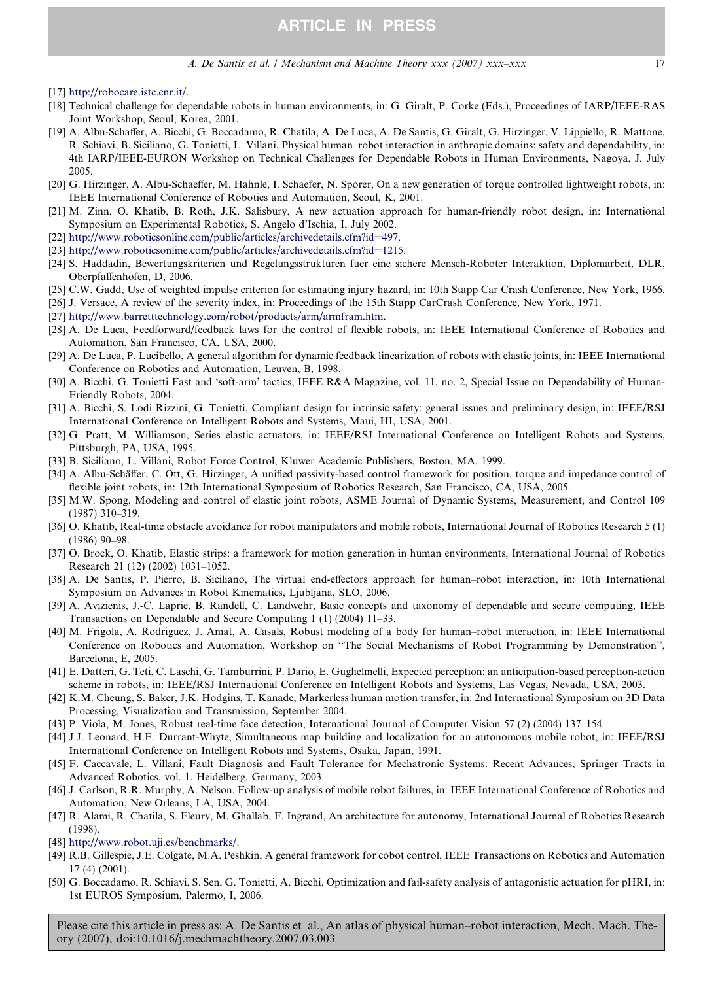<span id="page-16-0"></span>[17] [http://robocare.istc.cnr.it/.](http://robocare.istc.cnr.it/)

- [18] Technical challenge for dependable robots in human environments, in: G. Giralt, P. Corke (Eds.), Proceedings of IARP/IEEE-RAS Joint Workshop, Seoul, Korea, 2001.
- [19] A. Albu-Schaffer, A. Bicchi, G. Boccadamo, R. Chatila, A. De Luca, A. De Santis, G. Giralt, G. Hirzinger, V. Lippiello, R. Mattone, R. Schiavi, B. Siciliano, G. Tonietti, L. Villani, Physical human–robot interaction in anthropic domains: safety and dependability, in: 4th IARP/IEEE-EURON Workshop on Technical Challenges for Dependable Robots in Human Environments, Nagoya, J, July 2005.
- [20] G. Hirzinger, A. Albu-Schaeffer, M. Hahnle, I. Schaefer, N. Sporer, On a new generation of torque controlled lightweight robots, in: IEEE International Conference of Robotics and Automation, Seoul, K, 2001.
- [21] M. Zinn, O. Khatib, B. Roth, J.K. Salisbury, A new actuation approach for human-friendly robot design, in: International Symposium on Experimental Robotics, S. Angelo d'Ischia, I, July 2002.
- [22] <http://www.roboticsonline.com/public/articles/archivedetails.cfm?id=497>.
- [23] <http://www.roboticsonline.com/public/articles/archivedetails.cfm?id=1215>.
- [24] S. Haddadin, Bewertungskriterien und Regelungsstrukturen fuer eine sichere Mensch-Roboter Interaktion, Diplomarbeit, DLR, Oberpfaffenhofen, D, 2006.
- [25] C.W. Gadd, Use of weighted impulse criterion for estimating injury hazard, in: 10th Stapp Car Crash Conference, New York, 1966.

[26] J. Versace, A review of the severity index, in: Proceedings of the 15th Stapp CarCrash Conference, New York, 1971.

- [27] [http://www.barretttechnology.com/robot/products/arm/armfram.htm.](http://www.barretttechnology.com/robot/products/arm/armfram.htm)
- [28] A. De Luca, Feedforward/feedback laws for the control of flexible robots, in: IEEE International Conference of Robotics and Automation, San Francisco, CA, USA, 2000.
- [29] A. De Luca, P. Lucibello, A general algorithm for dynamic feedback linearization of robots with elastic joints, in: IEEE International Conference on Robotics and Automation, Leuven, B, 1998.
- [30] A. Bicchi, G. Tonietti Fast and 'soft-arm' tactics, IEEE R&A Magazine, vol. 11, no. 2, Special Issue on Dependability of Human-Friendly Robots, 2004.
- [31] A. Bicchi, S. Lodi Rizzini, G. Tonietti, Compliant design for intrinsic safety: general issues and preliminary design, in: IEEE/RSJ International Conference on Intelligent Robots and Systems, Maui, HI, USA, 2001.
- [32] G. Pratt, M. Williamson, Series elastic actuators, in: IEEE/RSJ International Conference on Intelligent Robots and Systems, Pittsburgh, PA, USA, 1995.
- [33] B. Siciliano, L. Villani, Robot Force Control, Kluwer Academic Publishers, Boston, MA, 1999.
- [34] A. Albu-Schäffer, C. Ott, G. Hirzinger, A unified passivity-based control framework for position, torque and impedance control of flexible joint robots, in: 12th International Symposium of Robotics Research, San Francisco, CA, USA, 2005.
- [35] M.W. Spong, Modeling and control of elastic joint robots, ASME Journal of Dynamic Systems, Measurement, and Control 109 (1987) 310–319.
- [36] O. Khatib, Real-time obstacle avoidance for robot manipulators and mobile robots, International Journal of Robotics Research 5 (1) (1986) 90–98.
- [37] O. Brock, O. Khatib, Elastic strips: a framework for motion generation in human environments, International Journal of Robotics Research 21 (12) (2002) 1031–1052.
- [38] A. De Santis, P. Pierro, B. Siciliano, The virtual end-effectors approach for human–robot interaction, in: 10th International Symposium on Advances in Robot Kinematics, Ljubljana, SLO, 2006.
- [39] A. Avizienis, J.-C. Laprie, B. Randell, C. Landwehr, Basic concepts and taxonomy of dependable and secure computing, IEEE Transactions on Dependable and Secure Computing 1 (1) (2004) 11–33.
- [40] M. Frigola, A. Rodriguez, J. Amat, A. Casals, Robust modeling of a body for human–robot interaction, in: IEEE International Conference on Robotics and Automation, Workshop on ''The Social Mechanisms of Robot Programming by Demonstration'', Barcelona, E, 2005.
- [41] E. Datteri, G. Teti, C. Laschi, G. Tamburrini, P. Dario, E. Guglielmelli, Expected perception: an anticipation-based perception-action scheme in robots, in: IEEE/RSJ International Conference on Intelligent Robots and Systems, Las Vegas, Nevada, USA, 2003.
- [42] K.M. Cheung, S. Baker, J.K. Hodgins, T. Kanade, Markerless human motion transfer, in: 2nd International Symposium on 3D Data Processing, Visualization and Transmission, September 2004.
- [43] P. Viola, M. Jones, Robust real-time face detection, International Journal of Computer Vision 57 (2) (2004) 137–154.
- [44] J.J. Leonard, H.F. Durrant-Whyte, Simultaneous map building and localization for an autonomous mobile robot, in: IEEE/RSJ International Conference on Intelligent Robots and Systems, Osaka, Japan, 1991.
- [45] F. Caccavale, L. Villani, Fault Diagnosis and Fault Tolerance for Mechatronic Systems: Recent Advances, Springer Tracts in Advanced Robotics, vol. 1. Heidelberg, Germany, 2003.
- [46] J. Carlson, R.R. Murphy, A. Nelson, Follow-up analysis of mobile robot failures, in: IEEE International Conference of Robotics and Automation, New Orleans, LA, USA, 2004.
- [47] R. Alami, R. Chatila, S. Fleury, M. Ghallab, F. Ingrand, An architecture for autonomy, International Journal of Robotics Research (1998).
- [48] [http://www.robot.uji.es/benchmarks/.](http://www.robot.uji.es/benchmarks/)
- [49] R.B. Gillespie, J.E. Colgate, M.A. Peshkin, A general framework for cobot control, IEEE Transactions on Robotics and Automation 17 (4) (2001).
- [50] G. Boccadamo, R. Schiavi, S. Sen, G. Tonietti, A. Bicchi, Optimization and fail-safety analysis of antagonistic actuation for pHRI, in: 1st EUROS Symposium, Palermo, I, 2006.